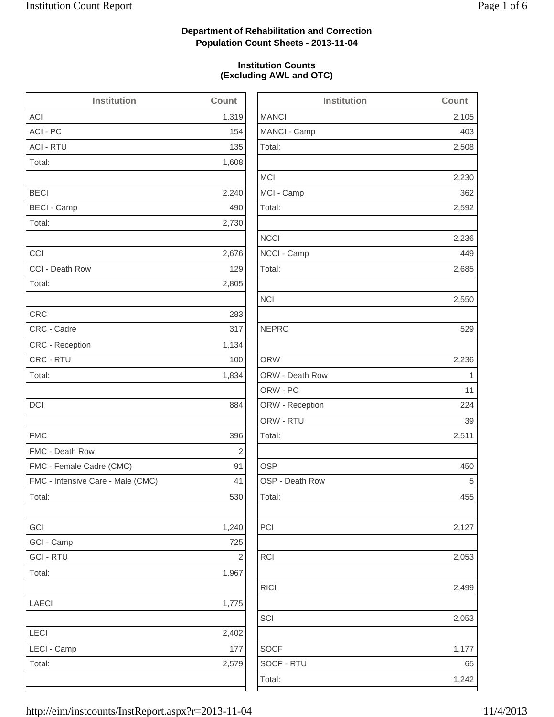2,508

2,230

2,592

2,236

2,685

2,053

2,499

2,053

## **Department of Rehabilitation and Correction Population Count Sheets - 2013-11-04**

### **Institution Counts (Excluding AWL and OTC)**

| <b>Institution</b>                | Count                   | <b>Institution</b> | Count       |
|-----------------------------------|-------------------------|--------------------|-------------|
| <b>ACI</b>                        | 1,319                   | <b>MANCI</b>       | 2,105       |
| ACI - PC                          | 154                     | MANCI - Camp       | 403         |
| <b>ACI - RTU</b>                  | 135                     | Total:             | 2,508       |
| Total:                            | 1,608                   |                    |             |
|                                   |                         | <b>MCI</b>         | 2,230       |
| <b>BECI</b>                       | 2,240                   | MCI - Camp         | 362         |
| <b>BECI - Camp</b>                | 490                     | Total:             | 2,592       |
| Total:                            | 2,730                   |                    |             |
|                                   |                         | <b>NCCI</b>        | 2,236       |
| CCI                               | 2,676                   | NCCI - Camp        | 449         |
| CCI - Death Row                   | 129                     | Total:             | 2,685       |
| Total:                            | 2,805                   |                    |             |
|                                   |                         | <b>NCI</b>         | 2,550       |
| <b>CRC</b>                        | 283                     |                    |             |
| CRC - Cadre                       | 317                     | <b>NEPRC</b>       | 529         |
| <b>CRC</b> - Reception            | 1,134                   |                    |             |
| CRC - RTU                         | 100                     | <b>ORW</b>         | 2,236       |
| Total:                            | 1,834                   | ORW - Death Row    | $\mathbf 1$ |
|                                   |                         | ORW - PC           | 11          |
| DCI                               | 884                     | ORW - Reception    | 224         |
|                                   |                         | ORW - RTU          | 39          |
| <b>FMC</b>                        | 396                     | Total:             | 2,511       |
| FMC - Death Row                   | 2                       |                    |             |
| FMC - Female Cadre (CMC)          | 91                      | <b>OSP</b>         | 450         |
| FMC - Intensive Care - Male (CMC) | 41                      | OSP - Death Row    | 5           |
| Total:                            | 530                     | Total:             | 455         |
| GCI                               | 1,240                   | PCI                | 2,127       |
| GCI - Camp                        | 725                     |                    |             |
| <b>GCI - RTU</b>                  | $\overline{\mathbf{c}}$ | <b>RCI</b>         | 2,053       |
| Total:                            | 1,967                   |                    |             |
|                                   |                         | <b>RICI</b>        | 2,499       |
| LAECI                             | 1,775                   |                    |             |
|                                   |                         | SCI                | 2,053       |
| LECI                              | 2,402                   |                    |             |
| LECI - Camp                       | 177                     | <b>SOCF</b>        | 1,177       |
| Total:                            | 2,579                   | SOCF - RTU         | 65          |
|                                   |                         | Total:             | 1,242       |
|                                   |                         |                    |             |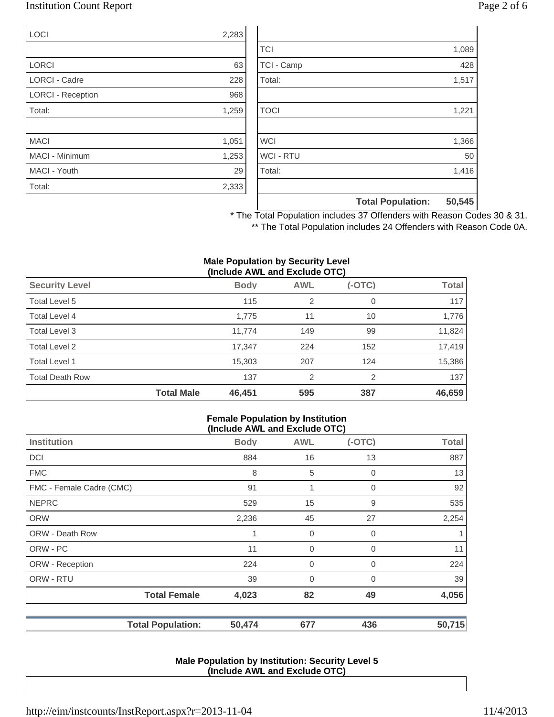## Institution Count Report Page 2 of 6

| <b>LOCI</b>              | 2,283 |
|--------------------------|-------|
|                          |       |
| <b>LORCI</b>             | 63    |
| <b>LORCI - Cadre</b>     | 228   |
| <b>LORCI - Reception</b> | 968   |
| Total:                   | 1,259 |
|                          |       |
| <b>MACI</b>              | 1,051 |
| <b>MACI - Minimum</b>    | 1,253 |
| MACI - Youth             | 29    |
| Total:                   | 2,333 |

|                  | <b>Total Population:</b> | 50,545 |
|------------------|--------------------------|--------|
|                  |                          |        |
| Total:           |                          | 1,416  |
| <b>WCI - RTU</b> |                          | 50     |
| <b>WCI</b>       |                          | 1,366  |
|                  |                          |        |
| <b>TOCI</b>      |                          | 1,221  |
|                  |                          |        |
| Total:           |                          | 1,517  |
| TCI - Camp       |                          | 428    |
| <b>TCI</b>       |                          | 1,089  |

\* The Total Population includes 37 Offenders with Reason Codes 30 & 31. \*\* The Total Population includes 24 Offenders with Reason Code 0A.

#### **Male Population by Security Level (Include AWL and Exclude OTC)**

|                        |                   | ,           |                |          |              |
|------------------------|-------------------|-------------|----------------|----------|--------------|
| <b>Security Level</b>  |                   | <b>Body</b> | <b>AWL</b>     | $(-OTC)$ | <b>Total</b> |
| Total Level 5          |                   | 115         | 2              | 0        | 117          |
| Total Level 4          |                   | 1,775       | 11             | 10       | 1,776        |
| Total Level 3          |                   | 11,774      | 149            | 99       | 11,824       |
| Total Level 2          |                   | 17,347      | 224            | 152      | 17,419       |
| Total Level 1          |                   | 15,303      | 207            | 124      | 15,386       |
| <b>Total Death Row</b> |                   | 137         | $\overline{2}$ | 2        | 137          |
|                        | <b>Total Male</b> | 46,451      | 595            | 387      | 46,659       |

#### **Female Population by Institution (Include AWL and Exclude OTC)**

|                          | $1.5.0440$ $1.112$ and Exolado $0.07$ |                |          |              |
|--------------------------|---------------------------------------|----------------|----------|--------------|
| <b>Institution</b>       | <b>Body</b>                           | <b>AWL</b>     | $(-OTC)$ | <b>Total</b> |
| <b>DCI</b>               | 884                                   | 16             | 13       | 887          |
| <b>FMC</b>               | 8                                     | 5              | 0        | 13           |
| FMC - Female Cadre (CMC) | 91                                    | 1              | 0        | 92           |
| <b>NEPRC</b>             | 529                                   | 15             | 9        | 535          |
| <b>ORW</b>               | 2,236                                 | 45             | 27       | 2,254        |
| <b>ORW - Death Row</b>   | 1                                     | 0              | 0        |              |
| ORW - PC                 | 11                                    | $\mathbf 0$    | 0        | 11           |
| ORW - Reception          | 224                                   | $\mathbf 0$    | 0        | 224          |
| ORW - RTU                | 39                                    | $\overline{0}$ | $\Omega$ | 39           |
| <b>Total Female</b>      | 4,023                                 | 82             | 49       | 4,056        |
| <b>Total Population:</b> | 50,474                                | 677            | 436      | 50,715       |

#### **Male Population by Institution: Security Level 5 (Include AWL and Exclude OTC)**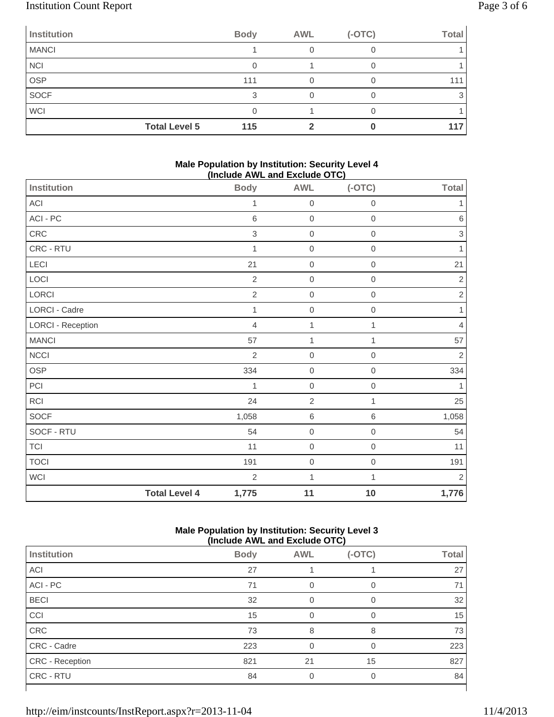# Institution Count Report Page 3 of 6

| Institution  | <b>Body</b>                 | <b>AWL</b> | $(-OTC)$ | <b>Total</b> |
|--------------|-----------------------------|------------|----------|--------------|
| <b>MANCI</b> |                             |            |          |              |
| <b>NCI</b>   |                             |            |          |              |
| <b>OSP</b>   | 111                         |            |          | 111          |
| SOCF         | ີ                           |            |          |              |
| <b>WCI</b>   |                             |            |          |              |
|              | <b>Total Level 5</b><br>115 |            |          | 117          |

### **Male Population by Institution: Security Level 4 (Include AWL and Exclude OTC)**

| $100000$ $1112$ and Exolage $\bullet$ $1\bullet$ |                      |                |                  |                  |              |
|--------------------------------------------------|----------------------|----------------|------------------|------------------|--------------|
| Institution                                      |                      | <b>Body</b>    | <b>AWL</b>       | $(-OTC)$         | <b>Total</b> |
| ACI                                              |                      | 1              | $\mathbf 0$      | $\boldsymbol{0}$ | 1            |
| ACI - PC                                         |                      | $\,$ 6         | $\mathbf 0$      | $\mathbf 0$      | $\,6\,$      |
| CRC                                              |                      | $\,$ 3 $\,$    | $\mathbf 0$      | $\mathbf 0$      | $\,$ 3 $\,$  |
| CRC - RTU                                        |                      | 1              | $\boldsymbol{0}$ | $\boldsymbol{0}$ | 1            |
| LECI                                             |                      | 21             | $\boldsymbol{0}$ | $\boldsymbol{0}$ | 21           |
| LOCI                                             |                      | $\sqrt{2}$     | $\mathbf 0$      | $\mathbf 0$      | $\sqrt{2}$   |
| LORCI                                            |                      | $\overline{2}$ | $\boldsymbol{0}$ | $\boldsymbol{0}$ | $\sqrt{2}$   |
| LORCI - Cadre                                    |                      | $\mathbf{1}$   | $\mathbf 0$      | $\mathbf 0$      | 1            |
| <b>LORCI - Reception</b>                         |                      | $\overline{4}$ | 1                | 1                | 4            |
| <b>MANCI</b>                                     |                      | 57             | $\mathbf 1$      | 1                | 57           |
| <b>NCCI</b>                                      |                      | $\overline{2}$ | $\mathbf 0$      | $\boldsymbol{0}$ | $\sqrt{2}$   |
| OSP                                              |                      | 334            | $\mathbf 0$      | $\mathbf 0$      | 334          |
| PCI                                              |                      | 1              | $\boldsymbol{0}$ | $\mathbf 0$      | 1            |
| <b>RCI</b>                                       |                      | 24             | $\overline{2}$   | 1                | 25           |
| SOCF                                             |                      | 1,058          | 6                | $\,6$            | 1,058        |
| SOCF - RTU                                       |                      | 54             | $\mathbf 0$      | $\mathbf 0$      | 54           |
| <b>TCI</b>                                       |                      | 11             | $\boldsymbol{0}$ | $\mathbf 0$      | 11           |
| <b>TOCI</b>                                      |                      | 191            | $\mathbf 0$      | $\,0\,$          | 191          |
| WCI                                              |                      | $\overline{2}$ | $\mathbf{1}$     | 1                | $\sqrt{2}$   |
|                                                  | <b>Total Level 4</b> | 1,775          | 11               | 10               | 1,776        |

### **Male Population by Institution: Security Level 3 (Include AWL and Exclude OTC)**

| <b>Institution</b>     | <b>Body</b> | <b>AWL</b> | $(-OTC)$ | <b>Total</b> |  |
|------------------------|-------------|------------|----------|--------------|--|
| ACI                    | 27          |            |          | 27           |  |
| ACI - PC               | 71          |            | ∩        | 71           |  |
| <b>BECI</b>            | 32          | $\Omega$   | $\Omega$ | 32           |  |
| CCI                    | 15          | 0          | 0        | 15           |  |
| CRC                    | 73          | 8          | 8        | 73           |  |
| CRC - Cadre            | 223         | $\Omega$   | $\Omega$ | 223          |  |
| <b>CRC</b> - Reception | 821         | 21         | 15       | 827          |  |
| CRC - RTU              | 84          |            | 0        | 84           |  |
|                        |             |            |          |              |  |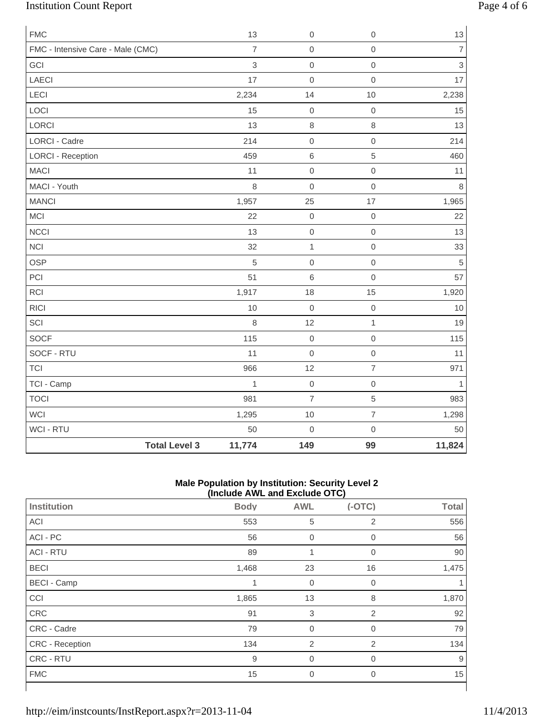# Institution Count Report Page 4 of 6

| <b>FMC</b>                        |                      | 13             | $\mathbf 0$      | $\mathbf 0$         | $13$           |
|-----------------------------------|----------------------|----------------|------------------|---------------------|----------------|
| FMC - Intensive Care - Male (CMC) |                      | $\overline{7}$ | $\mathbf 0$      | $\mathsf{O}\xspace$ | $\overline{7}$ |
| GCI                               |                      | 3              | $\mathbf 0$      | $\mathsf{O}\xspace$ | 3              |
| <b>LAECI</b>                      |                      | 17             | $\mathbf 0$      | $\mathsf{O}\xspace$ | 17             |
| LECI                              |                      | 2,234          | 14               | 10                  | 2,238          |
| LOCI                              |                      | 15             | $\mathbf 0$      | $\mathsf{O}\xspace$ | 15             |
| LORCI                             |                      | 13             | $\,8\,$          | $\,8\,$             | 13             |
| <b>LORCI - Cadre</b>              |                      | 214            | $\mbox{O}$       | $\mathsf{O}\xspace$ | 214            |
| <b>LORCI - Reception</b>          |                      | 459            | $\,6\,$          | 5                   | 460            |
| <b>MACI</b>                       |                      | 11             | $\mbox{O}$       | $\mathsf{O}\xspace$ | 11             |
| MACI - Youth                      |                      | 8              | $\mathbf 0$      | $\mathsf{O}\xspace$ | $\,8\,$        |
| <b>MANCI</b>                      |                      | 1,957          | 25               | 17                  | 1,965          |
| MCI                               |                      | 22             | $\mathbf 0$      | $\mathbf 0$         | 22             |
| <b>NCCI</b>                       |                      | 13             | $\mathbf 0$      | $\mathsf{O}\xspace$ | 13             |
| <b>NCI</b>                        |                      | 32             | $\mathbf{1}$     | $\mathsf{O}\xspace$ | 33             |
| <b>OSP</b>                        |                      | 5              | $\mathbf 0$      | $\mathsf{O}\xspace$ | $\sqrt{5}$     |
| PCI                               |                      | 51             | $6\,$            | $\mathsf{O}\xspace$ | 57             |
| RCI                               |                      | 1,917          | 18               | 15                  | 1,920          |
| <b>RICI</b>                       |                      | 10             | $\mathbf 0$      | $\mathbf 0$         | 10             |
| SCI                               |                      | 8              | 12               | $\mathbf{1}$        | 19             |
| <b>SOCF</b>                       |                      | 115            | $\boldsymbol{0}$ | $\mathsf{O}\xspace$ | 115            |
| SOCF - RTU                        |                      | 11             | $\mathbf 0$      | $\mathsf{O}\xspace$ | 11             |
| <b>TCI</b>                        |                      | 966            | 12               | $\overline{7}$      | 971            |
| TCI - Camp                        |                      | $\mathbf{1}$   | $\mathbf 0$      | $\mathsf{O}\xspace$ | $\mathbf{1}$   |
| <b>TOCI</b>                       |                      | 981            | $\overline{7}$   | 5                   | 983            |
| WCI                               |                      | 1,295          | 10               | $\overline{7}$      | 1,298          |
| WCI - RTU                         |                      | 50             | $\mathbf 0$      | $\mathsf{O}\xspace$ | 50             |
|                                   | <b>Total Level 3</b> | 11,774         | 149              | 99                  | 11,824         |

### **Male Population by Institution: Security Level 2 (Include AWL and Exclude OTC)**

|                    | $\mu$ . The process $\mu$ and $\mu$ and $\mu$ and $\mu$ |                |                |              |  |  |
|--------------------|---------------------------------------------------------|----------------|----------------|--------------|--|--|
| Institution        | <b>Body</b>                                             | <b>AWL</b>     | $(-OTC)$       | <b>Total</b> |  |  |
| ACI                | 553                                                     | 5              | $\overline{2}$ | 556          |  |  |
| ACI - PC           | 56                                                      | $\mathbf 0$    | $\mathbf 0$    | 56           |  |  |
| <b>ACI - RTU</b>   | 89                                                      | 1              | 0              | 90           |  |  |
| <b>BECI</b>        | 1,468                                                   | 23             | 16             | 1,475        |  |  |
| <b>BECI - Camp</b> |                                                         | $\mathbf 0$    | $\overline{0}$ |              |  |  |
| CCI                | 1,865                                                   | 13             | 8              | 1,870        |  |  |
| CRC                | 91                                                      | 3              | $\overline{2}$ | 92           |  |  |
| CRC - Cadre        | 79                                                      | $\mathbf 0$    | 0              | 79           |  |  |
| CRC - Reception    | 134                                                     | $\overline{2}$ | $\overline{2}$ | 134          |  |  |
| CRC - RTU          | 9                                                       | $\mathbf 0$    | 0              | 9            |  |  |
| <b>FMC</b>         | 15                                                      | $\overline{0}$ | $\overline{0}$ | 15           |  |  |
|                    |                                                         |                |                |              |  |  |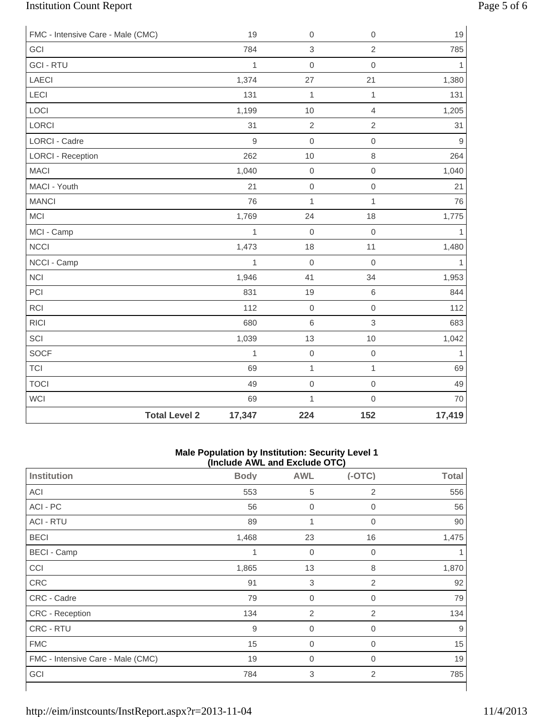# Institution Count Report Page 5 of 6

| FMC - Intensive Care - Male (CMC) |                      | 19           | $\boldsymbol{0}$ | $\mathbf 0$         | 19           |
|-----------------------------------|----------------------|--------------|------------------|---------------------|--------------|
| GCI                               |                      | 784          | 3                | $\overline{2}$      | 785          |
| <b>GCI - RTU</b>                  |                      | $\mathbf{1}$ | $\mathbf 0$      | $\mathbf 0$         | $\mathbf{1}$ |
| LAECI                             |                      | 1,374        | 27               | 21                  | 1,380        |
| <b>LECI</b>                       |                      | 131          | $\mathbf{1}$     | $\mathbf{1}$        | 131          |
| LOCI                              |                      | 1,199        | 10               | $\overline{4}$      | 1,205        |
| LORCI                             |                      | 31           | $\sqrt{2}$       | $\overline{2}$      | 31           |
| <b>LORCI - Cadre</b>              |                      | 9            | $\mathbf 0$      | $\mathbf 0$         | $\mathsf g$  |
| <b>LORCI - Reception</b>          |                      | 262          | 10               | 8                   | 264          |
| <b>MACI</b>                       |                      | 1,040        | $\mbox{O}$       | $\mathbf 0$         | 1,040        |
| MACI - Youth                      |                      | 21           | $\mathbf 0$      | $\mathbf 0$         | 21           |
| <b>MANCI</b>                      |                      | 76           | $\mathbf{1}$     | 1                   | 76           |
| MCI                               |                      | 1,769        | 24               | 18                  | 1,775        |
| MCI - Camp                        |                      | 1            | $\mathbf 0$      | $\mathbf 0$         | $\mathbf{1}$ |
| <b>NCCI</b>                       |                      | 1,473        | 18               | 11                  | 1,480        |
| NCCI - Camp                       |                      | 1            | $\mathbf 0$      | $\mathbf 0$         | $\mathbf{1}$ |
| <b>NCI</b>                        |                      | 1,946        | 41               | 34                  | 1,953        |
| PCI                               |                      | 831          | 19               | $\,$ 6 $\,$         | 844          |
| <b>RCI</b>                        |                      | 112          | $\mathbf 0$      | $\mathsf{O}\xspace$ | 112          |
| <b>RICI</b>                       |                      | 680          | $\,6$            | 3                   | 683          |
| SCI                               |                      | 1,039        | 13               | 10                  | 1,042        |
| SOCF                              |                      | $\mathbf{1}$ | $\mbox{O}$       | $\mathsf{O}\xspace$ | 1            |
| <b>TCI</b>                        |                      | 69           | $\mathbf{1}$     | $\mathbf{1}$        | 69           |
| <b>TOCI</b>                       |                      | 49           | $\boldsymbol{0}$ | $\mathsf{O}\xspace$ | 49           |
| <b>WCI</b>                        |                      | 69           | $\mathbf{1}$     | $\mathsf{O}\xspace$ | 70           |
|                                   | <b>Total Level 2</b> | 17,347       | 224              | 152                 | 17,419       |

#### **Male Population by Institution: Security Level 1 (Include AWL and Exclude OTC)**

|                                   |             | $\frac{1}{2}$             |                |              |
|-----------------------------------|-------------|---------------------------|----------------|--------------|
| <b>Institution</b>                | <b>Body</b> | <b>AWL</b>                | $(-OTC)$       | <b>Total</b> |
| ACI                               | 553         | 5                         | 2              | 556          |
| ACI - PC                          | 56          | $\mathbf 0$               | 0              | 56           |
| <b>ACI - RTU</b>                  | 89          | 1                         | 0              | 90           |
| <b>BECI</b>                       | 1,468       | 23                        | 16             | 1,475        |
| <b>BECI - Camp</b>                | 1           | $\mathbf 0$               | 0              |              |
| CCI                               | 1,865       | 13                        | 8              | 1,870        |
| CRC                               | 91          | $\ensuremath{\mathsf{3}}$ | 2              | 92           |
| CRC - Cadre                       | 79          | $\overline{0}$            | $\overline{0}$ | 79           |
| CRC - Reception                   | 134         | $\overline{2}$            | 2              | 134          |
| CRC - RTU                         | 9           | $\overline{0}$            | 0              | 9            |
| <b>FMC</b>                        | 15          | $\boldsymbol{0}$          | 0              | 15           |
| FMC - Intensive Care - Male (CMC) | 19          | $\mathbf 0$               | 0              | 19           |
| GCI                               | 784         | 3                         | $\overline{2}$ | 785          |
|                                   |             |                           |                |              |